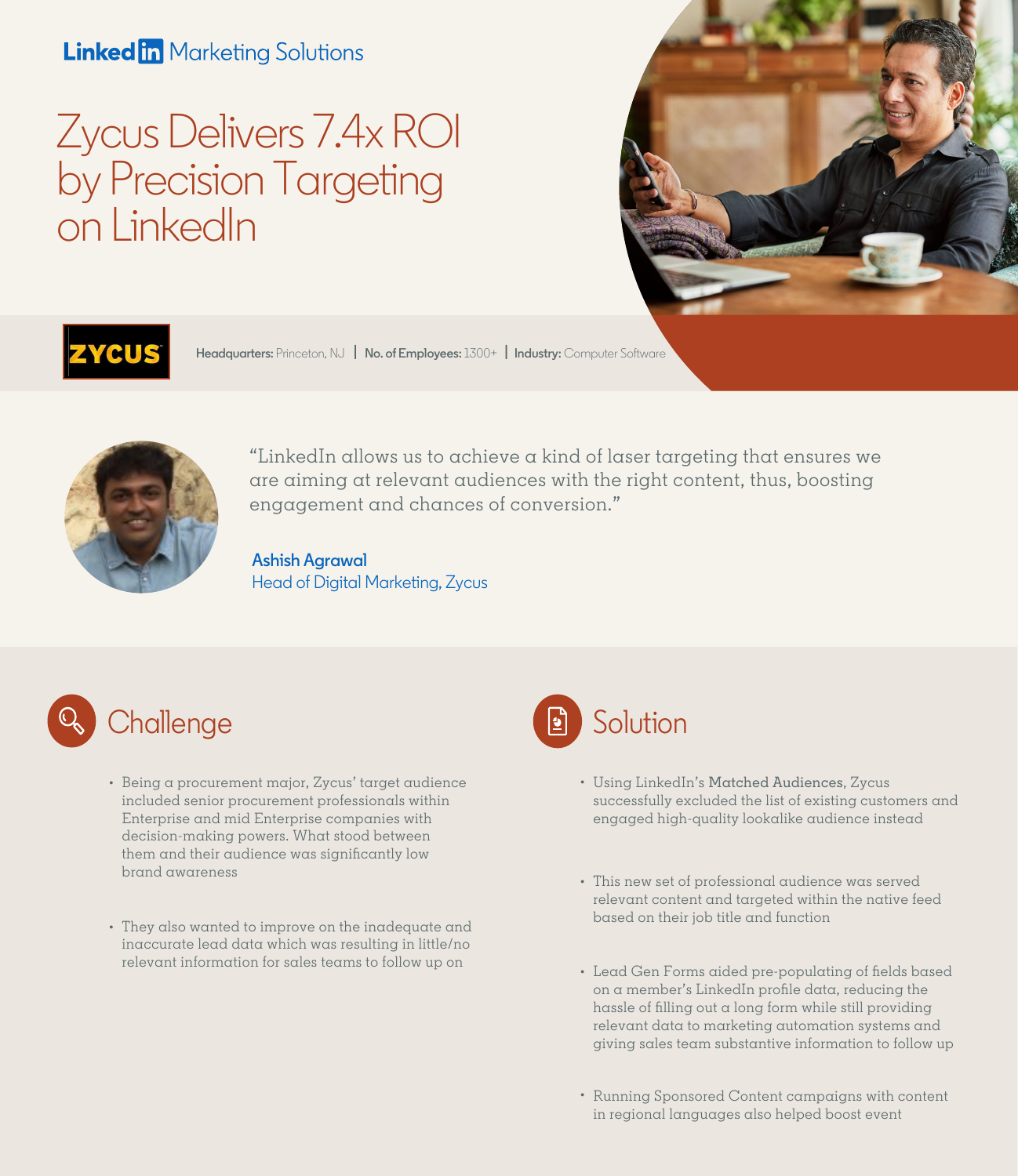## **Linked in Marketing Solutions**

# Zycus Delivers 7.4x ROI by Precision Targeting on LinkedIn





**Headquarters:** Princeton, NJ **| No. of Employees:** 1300+ **| Industry:** Computer Software



"LinkedIn allows us to achieve a kind of laser targeting that ensures we are aiming at relevant audiences with the right content, thus, boosting engagement and chances of conversion."

### **Ashish Agrawal** Head of Digital Marketing, Zycus



- Being a procurement major, Zycus' target audience included senior procurement professionals within Enterprise and mid Enterprise companies with decision-making powers. What stood between them and their audience was significantly low brand awareness
- They also wanted to improve on the inadequate and inaccurate lead data which was resulting in little/no relevant information for sales teams to follow up on



- Using LinkedIn's Matched Audiences, Zycus successfully excluded the list of existing customers and engaged high-quality lookalike audience instead
- This new set of professional audience was served relevant content and targeted within the native feed based on their job title and function
- Lead Gen Forms aided pre-populating of fields based on a member's LinkedIn profile data, reducing the hassle of filling out a long form while still providing relevant data to marketing automation systems and giving sales team substantive information to follow up
- Running Sponsored Content campaigns with content in regional languages also helped boost event